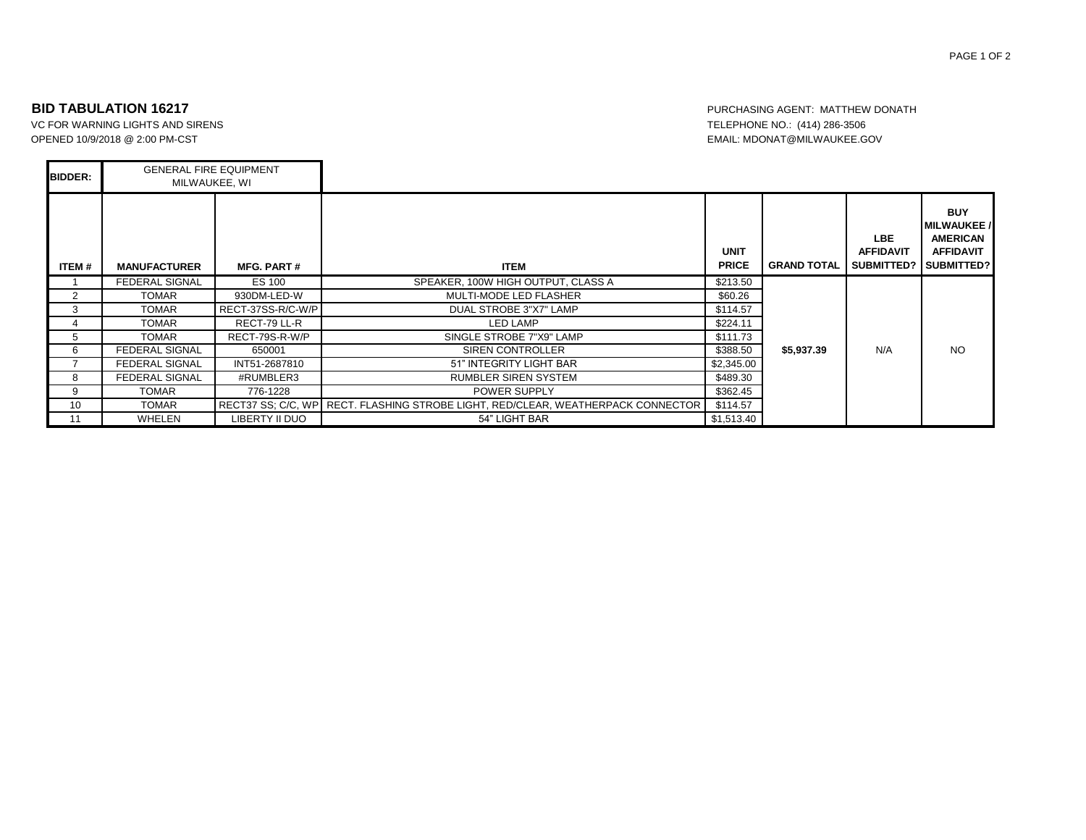Н

VC FOR WARNING LIGHTS AND SIRENS TELEPHONE NO.: (414) 286-3506 OPENED 10/9/2018 @ 2:00 PM-CST EMAIL: MDONAT@MILWAUKEE.GOV

**BID TABULATION 16217 PURCHASING AGENT: MATTHEW DONATH** 

| <b>BIDDER:</b> | <b>GENERAL FIRE EQUIPMENT</b><br>MILWAUKEE, WI |                   |                                                                                  |                             |                    |                                               |                                                                                       |
|----------------|------------------------------------------------|-------------------|----------------------------------------------------------------------------------|-----------------------------|--------------------|-----------------------------------------------|---------------------------------------------------------------------------------------|
| ITEM#          | <b>MANUFACTURER</b>                            | <b>MFG. PART#</b> | <b>ITEM</b>                                                                      | <b>UNIT</b><br><b>PRICE</b> | <b>GRAND TOTAL</b> | LBE.<br><b>AFFIDAVIT</b><br><b>SUBMITTED?</b> | <b>BUY</b><br><b>MILWAUKEE</b> /<br><b>AMERICAN</b><br><b>AFFIDAVIT</b><br>SUBMITTED? |
|                | <b>FEDERAL SIGNAL</b>                          | ES 100            | SPEAKER, 100W HIGH OUTPUT, CLASS A                                               | \$213.50                    |                    |                                               |                                                                                       |
| 2              | <b>TOMAR</b>                                   | 930DM-LED-W       | <b>MULTI-MODE LED FLASHER</b>                                                    | \$60.26                     |                    |                                               |                                                                                       |
| 3              | <b>TOMAR</b>                                   | RECT-37SS-R/C-W/P | DUAL STROBE 3"X7" LAMP                                                           | \$114.57                    |                    |                                               |                                                                                       |
|                | TOMAR                                          | RECT-79 LL-R      | <b>LED LAMP</b>                                                                  | \$224.11                    |                    |                                               |                                                                                       |
| 5              | TOMAR                                          | RECT-79S-R-W/P    | SINGLE STROBE 7"X9" LAMP                                                         | \$111.73                    |                    |                                               |                                                                                       |
| 6              | <b>FEDERAL SIGNAL</b>                          | 650001            | <b>SIREN CONTROLLER</b>                                                          | \$388.50                    | \$5,937.39         | N/A                                           | <b>NO</b>                                                                             |
|                | <b>FEDERAL SIGNAL</b>                          | INT51-2687810     | 51" INTEGRITY LIGHT BAR                                                          | \$2,345.00                  |                    |                                               |                                                                                       |
| 8              | <b>FEDERAL SIGNAL</b>                          | #RUMBLER3         | <b>RUMBLER SIREN SYSTEM</b>                                                      | \$489.30                    |                    |                                               |                                                                                       |
| 9              | TOMAR                                          | 776-1228          | POWER SUPPLY                                                                     | \$362.45                    |                    |                                               |                                                                                       |
| 10             | <b>TOMAR</b>                                   |                   | RECT37 SS: C/C. WP RECT. FLASHING STROBE LIGHT, RED/CLEAR, WEATHERPACK CONNECTOR | \$114.57                    |                    |                                               |                                                                                       |
| 11             | WHELEN                                         | LIBERTY II DUO    | 54" LIGHT BAR                                                                    | \$1,513.40                  |                    |                                               |                                                                                       |